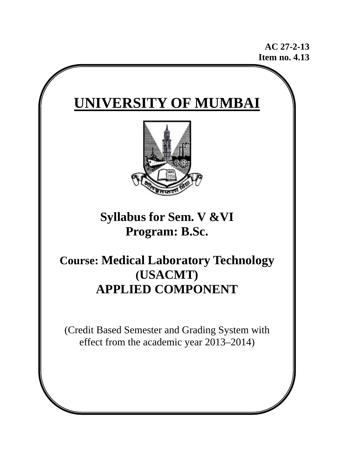**AC 27-2-13 Item no. 4.13** 

# **UNIVERSITY OF MUMBAI**



**Syllabus for Sem. V &VI Program: B.Sc.** 

# **Course: Medical Laboratory Technology (USACMT) APPLIED COMPONENT**

(Credit Based Semester and Grading System with effect from the academic year 2013–2014)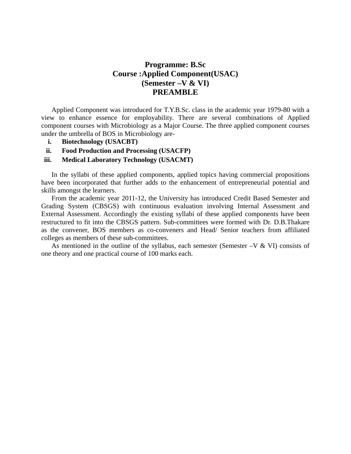### **Programme: B.Sc Course :Applied Component(USAC) (Semester –V & VI) PREAMBLE**

Applied Component was introduced for T.Y.B.Sc. class in the academic year 1979-80 with a view to enhance essence for employability. There are several combinations of Applied component courses with Microbiology as a Major Course. The three applied component courses under the umbrella of BOS in Microbiology are-

- **i. Biotechnology (USACBT)**
- **ii. Food Production and Processing (USACFP)**

#### **iii. Medical Laboratory Technology (USACMT)**

In the syllabi of these applied components, applied topics having commercial propositions have been incorporated that further adds to the enhancement of entrepreneurial potential and skills amongst the learners.

From the academic year 2011-12, the University has introduced Credit Based Semester and Grading System (CBSGS) with continuous evaluation involving Internal Assessment and External Assessment. Accordingly the existing syllabi of these applied components have been restructured to fit into the CBSGS pattern. Sub-committees were formed with Dr. D.B.Thakare as the convener, BOS members as co-conveners and Head/ Senior teachers from affiliated colleges as members of these sub-committees.

As mentioned in the outline of the syllabus, each semester (Semester  $-V & VI$ ) consists of one theory and one practical course of 100 marks each.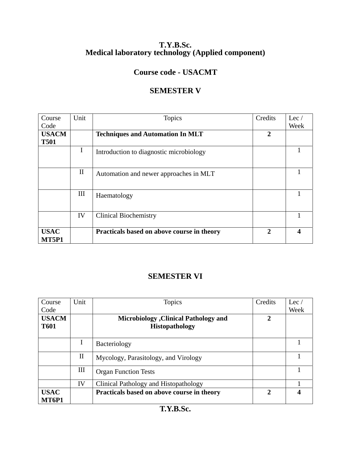### **T.Y.B.Sc. Medical laboratory technology (Applied component)**

## **Course code - USACMT**

### **SEMESTER V**

| Course               | Unit         | <b>Topics</b>                              | Credits                     | Lec $/$ |
|----------------------|--------------|--------------------------------------------|-----------------------------|---------|
| Code                 |              |                                            |                             | Week    |
| <b>USACM</b>         |              | <b>Techniques and Automation In MLT</b>    | $\overline{2}$              |         |
| <b>T501</b>          |              |                                            |                             |         |
|                      | $\bf{I}$     | Introduction to diagnostic microbiology    |                             |         |
|                      | $\mathbf{I}$ | Automation and newer approaches in MLT     |                             |         |
|                      | III          | Haematology                                |                             |         |
|                      | IV           | <b>Clinical Biochemistry</b>               |                             |         |
| <b>USAC</b><br>MT5P1 |              | Practicals based on above course in theory | $\mathcal{D}_{\mathcal{L}}$ |         |

### **SEMESTER VI**

| Course               | Unit         | Topics                                       | Credits       | Lec $\prime$ |
|----------------------|--------------|----------------------------------------------|---------------|--------------|
| Code                 |              |                                              |               | Week         |
| <b>USACM</b>         |              | <b>Microbiology</b> , Clinical Pathology and | $\mathbf{2}$  |              |
| <b>T601</b>          |              | <b>Histopathology</b>                        |               |              |
|                      |              |                                              |               |              |
|                      | I            | <b>Bacteriology</b>                          |               |              |
|                      | $\mathbf{I}$ | Mycology, Parasitology, and Virology         |               |              |
|                      | Ш            | <b>Organ Function Tests</b>                  |               |              |
|                      | IV           | Clinical Pathology and Histopathology        |               |              |
| <b>USAC</b><br>MT6P1 |              | Practicals based on above course in theory   | $\mathcal{L}$ |              |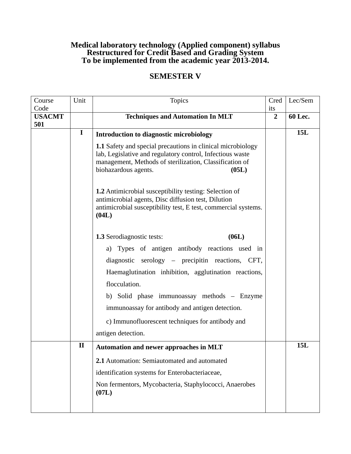### **Medical laboratory technology (Applied component) syllabus Restructured for Credit Based and Grading System To be implemented from the academic year 2013-2014.**

## **SEMESTER V**

| Course<br>Code       | Unit         | <b>Topics</b>                                                                                                                                                                                                               | Cred<br>its    | Lec/Sem |
|----------------------|--------------|-----------------------------------------------------------------------------------------------------------------------------------------------------------------------------------------------------------------------------|----------------|---------|
| <b>USACMT</b><br>501 |              | <b>Techniques and Automation In MLT</b>                                                                                                                                                                                     | $\overline{2}$ | 60 Lec. |
|                      | $\mathbf I$  | Introduction to diagnostic microbiology                                                                                                                                                                                     |                | 15L     |
|                      |              | <b>1.1</b> Safety and special precautions in clinical microbiology<br>lab, Legislative and regulatory control, Infectious waste<br>management, Methods of sterilization, Classification of<br>biohazardous agents.<br>(05L) |                |         |
|                      |              | <b>1.2</b> Antimicrobial susceptibility testing: Selection of<br>antimicrobial agents, Disc diffusion test, Dilution<br>antimicrobial susceptibility test, E test, commercial systems.<br>(04L)                             |                |         |
|                      |              | (06L)<br><b>1.3</b> Serodiagnostic tests:                                                                                                                                                                                   |                |         |
|                      |              | a) Types of antigen antibody reactions used in                                                                                                                                                                              |                |         |
|                      |              | diagnostic serology – precipitin reactions, CFT,                                                                                                                                                                            |                |         |
|                      |              | Haemaglutination inhibition, agglutination reactions,                                                                                                                                                                       |                |         |
|                      |              | flocculation.                                                                                                                                                                                                               |                |         |
|                      |              | b) Solid phase immunoassay methods - Enzyme                                                                                                                                                                                 |                |         |
|                      |              | immunoassay for antibody and antigen detection.                                                                                                                                                                             |                |         |
|                      |              | c) Immunofluorescent techniques for antibody and                                                                                                                                                                            |                |         |
|                      |              | antigen detection.                                                                                                                                                                                                          |                |         |
|                      | $\mathbf{I}$ | <b>Automation and newer approaches in MLT</b>                                                                                                                                                                               |                | 15L     |
|                      |              | 2.1 Automation: Semiautomated and automated                                                                                                                                                                                 |                |         |
|                      |              | identification systems for Enterobacteriaceae,                                                                                                                                                                              |                |         |
|                      |              | Non fermentors, Mycobacteria, Staphylococci, Anaerobes<br>(07L)                                                                                                                                                             |                |         |
|                      |              |                                                                                                                                                                                                                             |                |         |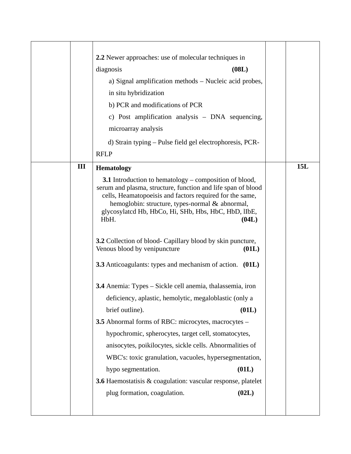|   | 2.2 Newer approaches: use of molecular techniques in                                                                                                                                                                                                                                                                  |     |
|---|-----------------------------------------------------------------------------------------------------------------------------------------------------------------------------------------------------------------------------------------------------------------------------------------------------------------------|-----|
|   | diagnosis<br>(08L)                                                                                                                                                                                                                                                                                                    |     |
|   | a) Signal amplification methods – Nucleic acid probes,                                                                                                                                                                                                                                                                |     |
|   | in situ hybridization                                                                                                                                                                                                                                                                                                 |     |
|   | b) PCR and modifications of PCR                                                                                                                                                                                                                                                                                       |     |
|   | c) Post amplification analysis - DNA sequencing,                                                                                                                                                                                                                                                                      |     |
|   | microarray analysis                                                                                                                                                                                                                                                                                                   |     |
|   | d) Strain typing – Pulse field gel electrophoresis, PCR-                                                                                                                                                                                                                                                              |     |
|   | <b>RFLP</b>                                                                                                                                                                                                                                                                                                           |     |
| Ш | <b>Hematology</b>                                                                                                                                                                                                                                                                                                     | 15L |
|   | <b>3.1</b> Introduction to hematology – composition of blood,<br>serum and plasma, structure, function and life span of blood<br>cells, Heamatopoeisis and factors required for the same,<br>hemoglobin: structure, types-normal & abnormal,<br>glycosylated Hb, HbCo, Hi, SHb, Hbs, HbC, HbD, IIbE,<br>HbH.<br>(04L) |     |
|   | <b>3.2</b> Collection of blood- Capillary blood by skin puncture,<br>Venous blood by venipuncture<br>(01L)                                                                                                                                                                                                            |     |
|   | 3.3 Anticoagulants: types and mechanism of action. (01L)                                                                                                                                                                                                                                                              |     |
|   | 3.4 Anemia: Types – Sickle cell anemia, thalassemia, iron                                                                                                                                                                                                                                                             |     |
|   | deficiency, aplastic, hemolytic, megaloblastic (only a                                                                                                                                                                                                                                                                |     |
|   | brief outline).<br>(01L)                                                                                                                                                                                                                                                                                              |     |
|   | <b>3.5</b> Abnormal forms of RBC: microcytes, macrocytes –                                                                                                                                                                                                                                                            |     |
|   | hypochromic, spherocytes, target cell, stomatocytes,                                                                                                                                                                                                                                                                  |     |
|   | anisocytes, poikilocytes, sickle cells. Abnormalities of                                                                                                                                                                                                                                                              |     |
|   | WBC's: toxic granulation, vacuoles, hypersegmentation,                                                                                                                                                                                                                                                                |     |
|   | (01L)<br>hypo segmentation.                                                                                                                                                                                                                                                                                           |     |
|   | <b>3.6</b> Haemostatisis & coagulation: vascular response, platelet                                                                                                                                                                                                                                                   |     |
|   | plug formation, coagulation.<br>(02L)                                                                                                                                                                                                                                                                                 |     |
|   |                                                                                                                                                                                                                                                                                                                       |     |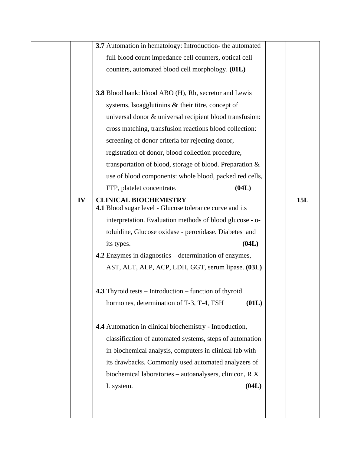|    | 3.7 Automation in hematology: Introduction- the automated     |     |
|----|---------------------------------------------------------------|-----|
|    | full blood count impedance cell counters, optical cell        |     |
|    | counters, automated blood cell morphology. (01L)              |     |
|    |                                                               |     |
|    | <b>3.8</b> Blood bank: blood ABO (H), Rh, secretor and Lewis  |     |
|    | systems, Isoagglutinins $\&$ their titre, concept of          |     |
|    | universal donor & universal recipient blood transfusion:      |     |
|    | cross matching, transfusion reactions blood collection:       |     |
|    | screening of donor criteria for rejecting donor,              |     |
|    | registration of donor, blood collection procedure,            |     |
|    | transportation of blood, storage of blood. Preparation $\&$   |     |
|    | use of blood components: whole blood, packed red cells,       |     |
|    | (04L)<br>FFP, platelet concentrate.                           |     |
| IV | <b>CLINICAL BIOCHEMISTRY</b>                                  | 15L |
|    | 4.1 Blood sugar level - Glucose tolerance curve and its       |     |
|    | interpretation. Evaluation methods of blood glucose - o-      |     |
|    | toluidine, Glucose oxidase - peroxidase. Diabetes and         |     |
|    | (04L)<br>its types.                                           |     |
|    | 4.2 Enzymes in diagnostics – determination of enzymes,        |     |
|    | AST, ALT, ALP, ACP, LDH, GGT, serum lipase. (03L)             |     |
|    |                                                               |     |
|    | <b>4.3</b> Thyroid tests – Introduction – function of thyroid |     |
|    | (01L)<br>hormones, determination of T-3, T-4, TSH             |     |
|    |                                                               |     |
|    | 4.4 Automation in clinical biochemistry - Introduction,       |     |
|    | classification of automated systems, steps of automation      |     |
|    | in biochemical analysis, computers in clinical lab with       |     |
|    | its drawbacks. Commonly used automated analyzers of           |     |
|    | biochemical laboratories – autoanalysers, clinicon, R X       |     |
|    | (04L)<br>L system.                                            |     |
|    |                                                               |     |
|    |                                                               |     |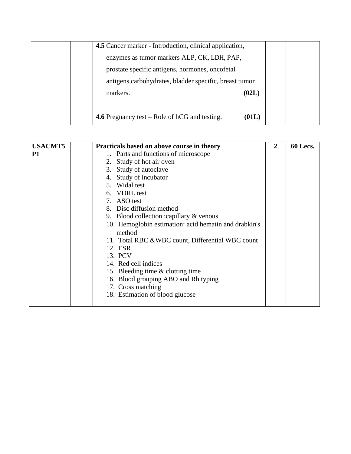| 4.5 Cancer marker - Introduction, clinical application, |       |  |
|---------------------------------------------------------|-------|--|
| enzymes as tumor markers ALP, CK, LDH, PAP,             |       |  |
| prostate specific antigens, hormones, oncofetal         |       |  |
| antigens, carbohydrates, bladder specific, breast tumor |       |  |
| markers.                                                | (02L) |  |
|                                                         |       |  |
| <b>4.6</b> Pregnancy test – Role of $hCG$ and testing.  | (01L) |  |

| <b>USACMT5</b> | Practicals based on above course in theory            | $\mathbf{2}$ | 60 Lecs. |
|----------------|-------------------------------------------------------|--------------|----------|
| <b>P1</b>      | 1. Parts and functions of microscope                  |              |          |
|                | Study of hot air oven<br>2.                           |              |          |
|                | 3. Study of autoclave                                 |              |          |
|                | Study of incubator<br>4.                              |              |          |
|                | 5. Widal test                                         |              |          |
|                | 6. VDRL test                                          |              |          |
|                | ASO test<br>7.                                        |              |          |
|                | 8. Disc diffusion method                              |              |          |
|                | 9. Blood collection : capillary & venous              |              |          |
|                | 10. Hemoglobin estimation: acid hematin and drabkin's |              |          |
|                | method                                                |              |          |
|                | 11. Total RBC & WBC count, Differential WBC count     |              |          |
|                | 12. ESR                                               |              |          |
|                | 13. PCV                                               |              |          |
|                | 14. Red cell indices                                  |              |          |
|                | 15. Bleeding time & clotting time                     |              |          |
|                | 16. Blood grouping ABO and Rh typing                  |              |          |
|                | 17. Cross matching                                    |              |          |
|                | 18. Estimation of blood glucose                       |              |          |
|                |                                                       |              |          |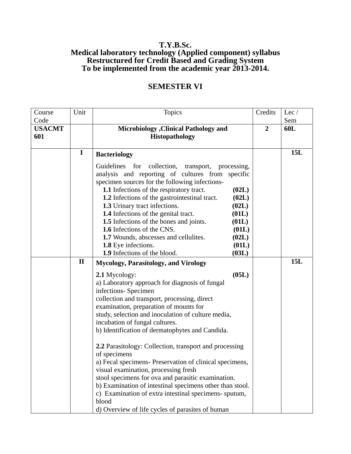### **T.Y.B.Sc. Medical laboratory technology (Applied component) syllabus Restructured for Credit Based and Grading System To be implemented from the academic year 2013-2014.**

| Course<br>Code       | Unit         | <b>Topics</b>                                                                                                                                                                                                                                                                                                                                                                                                                                                                                                                                                                                                                                                                                 | Credits        | Lec /<br>Sem |
|----------------------|--------------|-----------------------------------------------------------------------------------------------------------------------------------------------------------------------------------------------------------------------------------------------------------------------------------------------------------------------------------------------------------------------------------------------------------------------------------------------------------------------------------------------------------------------------------------------------------------------------------------------------------------------------------------------------------------------------------------------|----------------|--------------|
| <b>USACMT</b><br>601 |              | <b>Microbiology</b> , Clinical Pathology and<br><b>Histopathology</b>                                                                                                                                                                                                                                                                                                                                                                                                                                                                                                                                                                                                                         | $\overline{2}$ | 60L          |
|                      | $\mathbf I$  | <b>Bacteriology</b>                                                                                                                                                                                                                                                                                                                                                                                                                                                                                                                                                                                                                                                                           |                | 15L          |
|                      |              | for<br>Guidelines<br>collection,<br>transport,<br>processing,<br>analysis and reporting of cultures from specific<br>specimen sources for the following infections-<br>1.1 Infections of the respiratory tract.<br>(02L)<br>(02L)<br><b>1.2</b> Infections of the gastrointestinal tract.<br>1.3 Urinary tract infections.<br>(02L)<br>1.4 Infections of the genital tract.<br>(01L)<br>1.5 Infections of the bones and joints.<br>(01L)<br>1.6 Infections of the CNS.<br>(01L)<br>1.7 Wounds, abscesses and cellulites.<br>(02L)<br>1.8 Eye infections.<br>(01L)<br>1.9 Infections of the blood.<br>(03L)                                                                                    |                |              |
|                      | $\mathbf{I}$ | <b>Mycology, Parasitology, and Virology</b>                                                                                                                                                                                                                                                                                                                                                                                                                                                                                                                                                                                                                                                   |                | 15L          |
|                      |              | (05L)<br>2.1 Mycology:<br>a) Laboratory approach for diagnosis of fungal<br>infections- Specimen<br>collection and transport, processing, direct<br>examination, preparation of mounts for<br>study, selection and inoculation of culture media,<br>incubation of fungal cultures.<br>b) Identification of dermatophytes and Candida.<br>2.2 Parasitology: Collection, transport and processing<br>of specimens<br>a) Fecal specimens- Preservation of clinical specimens,<br>visual examination, processing fresh<br>stool specimens for ova and parasitic examination.<br>b) Examination of intestinal specimens other than stool.<br>c) Examination of extra intestinal specimens- sputum, |                |              |
|                      |              | blood<br>d) Overview of life cycles of parasites of human                                                                                                                                                                                                                                                                                                                                                                                                                                                                                                                                                                                                                                     |                |              |

### **SEMESTER VI**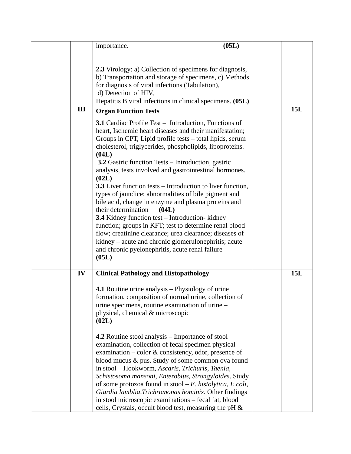|     | (05L)                                                                                                                                                                                                                                                                                                                                                                                                                                                                                                                                                                                                                                                                                                                                                                                                                                                                                              |     |
|-----|----------------------------------------------------------------------------------------------------------------------------------------------------------------------------------------------------------------------------------------------------------------------------------------------------------------------------------------------------------------------------------------------------------------------------------------------------------------------------------------------------------------------------------------------------------------------------------------------------------------------------------------------------------------------------------------------------------------------------------------------------------------------------------------------------------------------------------------------------------------------------------------------------|-----|
|     | importance.                                                                                                                                                                                                                                                                                                                                                                                                                                                                                                                                                                                                                                                                                                                                                                                                                                                                                        |     |
|     | 2.3 Virology: a) Collection of specimens for diagnosis,<br>b) Transportation and storage of specimens, c) Methods<br>for diagnosis of viral infections (Tabulation),<br>d) Detection of HIV,<br>Hepatitis B viral infections in clinical specimens. (05L)                                                                                                                                                                                                                                                                                                                                                                                                                                                                                                                                                                                                                                          |     |
| III | <b>Organ Function Tests</b>                                                                                                                                                                                                                                                                                                                                                                                                                                                                                                                                                                                                                                                                                                                                                                                                                                                                        | 15L |
|     | <b>3.1</b> Cardiac Profile Test – Introduction, Functions of<br>heart, Ischemic heart diseases and their manifestation;<br>Groups in CPT, Lipid profile tests – total lipids, serum<br>cholesterol, triglycerides, phospholipids, lipoproteins.<br>(04L)<br><b>3.2</b> Gastric function Tests – Introduction, gastric<br>analysis, tests involved and gastrointestinal hormones.<br>(02L)<br>3.3 Liver function tests – Introduction to liver function,<br>types of jaundice; abnormalities of bile pigment and<br>bile acid, change in enzyme and plasma proteins and<br>their determination<br>(04L)<br>3.4 Kidney function test – Introduction- kidney<br>function; groups in KFT; test to determine renal blood<br>flow; creatinine clearance; urea clearance; diseases of<br>kidney – acute and chronic glomerulonephritis; acute<br>and chronic pyelonephritis, acute renal failure<br>(05L) |     |
| IV  | <b>Clinical Pathology and Histopathology</b>                                                                                                                                                                                                                                                                                                                                                                                                                                                                                                                                                                                                                                                                                                                                                                                                                                                       | 15L |
|     | <b>4.1</b> Routine urine analysis – Physiology of urine<br>formation, composition of normal urine, collection of<br>urine specimens, routine examination of urine –<br>physical, chemical & microscopic<br>(02L)                                                                                                                                                                                                                                                                                                                                                                                                                                                                                                                                                                                                                                                                                   |     |
|     | <b>4.2</b> Routine stool analysis – Importance of stool<br>examination, collection of fecal specimen physical<br>examination – color $\&$ consistency, odor, presence of<br>blood mucus & pus. Study of some common ova found<br>in stool - Hookworm, Ascaris, Trichuris, Taenia,<br>Schistosoma mansoni, Enterobius, Strongyloides. Study<br>of some protozoa found in stool $-E$ . histolytica, E.coli,<br>Giardia lamblia, Trichromonas hominis. Other findings<br>in stool microscopic examinations – fecal fat, blood<br>cells, Crystals, occult blood test, measuring the pH &                                                                                                                                                                                                                                                                                                               |     |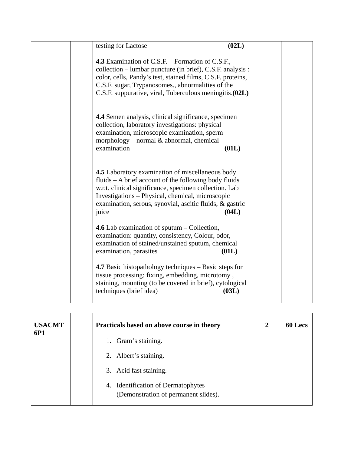| testing for Lactose                                                                                                                                                                                                                                                                           | (02L) |  |
|-----------------------------------------------------------------------------------------------------------------------------------------------------------------------------------------------------------------------------------------------------------------------------------------------|-------|--|
| 4.3 Examination of C.S.F. – Formation of C.S.F.,<br>collection – lumbar puncture (in brief), C.S.F. analysis :<br>color, cells, Pandy's test, stained films, C.S.F. proteins,<br>C.S.F. sugar, Trypanosomes., abnormalities of the<br>C.S.F. suppurative, viral, Tuberculous meningitis.(02L) |       |  |
| 4.4 Semen analysis, clinical significance, specimen<br>collection, laboratory investigations: physical<br>examination, microscopic examination, sperm<br>morphology – normal $\&$ abnormal, chemical<br>examination                                                                           | (01L) |  |
| 4.5 Laboratory examination of miscellaneous body<br>fluids – A brief account of the following body fluids<br>w.r.t. clinical significance, specimen collection. Lab<br>Investigations – Physical, chemical, microscopic<br>examination, serous, synovial, ascitic fluids, & gastric<br>juice  | (04L) |  |
| 4.6 Lab examination of sputum – Collection,<br>examination: quantity, consistency, Colour, odor,<br>examination of stained/unstained sputum, chemical<br>examination, parasites                                                                                                               | (01L) |  |
| 4.7 Basic histopathology techniques – Basic steps for<br>tissue processing: fixing, embedding, microtomy,<br>staining, mounting (to be covered in brief), cytological<br>techniques (brief idea)                                                                                              | (03L) |  |

| <b>USACMT</b><br>6P1 | Practicals based on above course in theory                                 | $\overline{2}$ | 60 Lecs |
|----------------------|----------------------------------------------------------------------------|----------------|---------|
|                      | 1. Gram's staining.                                                        |                |         |
|                      | 2. Albert's staining.                                                      |                |         |
|                      | 3. Acid fast staining.                                                     |                |         |
|                      | 4. Identification of Dermatophytes<br>(Demonstration of permanent slides). |                |         |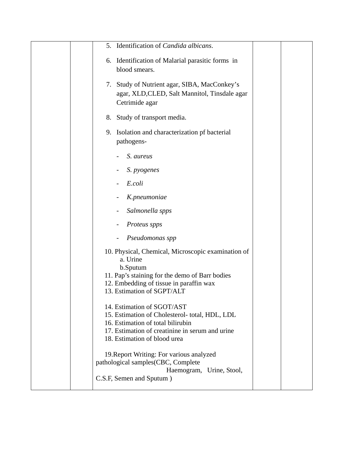| 5. Identification of Candida albicans.                                                           |  |
|--------------------------------------------------------------------------------------------------|--|
| Identification of Malarial parasitic forms in<br>6.                                              |  |
| blood smears.                                                                                    |  |
|                                                                                                  |  |
| Study of Nutrient agar, SIBA, MacConkey's<br>7.<br>agar, XLD, CLED, Salt Mannitol, Tinsdale agar |  |
| Cetrimide agar                                                                                   |  |
|                                                                                                  |  |
| Study of transport media.<br>8.                                                                  |  |
| 9. Isolation and characterization pf bacterial                                                   |  |
| pathogens-                                                                                       |  |
| S. aureus                                                                                        |  |
|                                                                                                  |  |
| S. pyogenes                                                                                      |  |
| E.coli                                                                                           |  |
| K.pneumoniae                                                                                     |  |
| Salmonella spps                                                                                  |  |
| Proteus spps                                                                                     |  |
| Pseudomonas spp                                                                                  |  |
| 10. Physical, Chemical, Microscopic examination of                                               |  |
| a. Urine                                                                                         |  |
| b.Sputum                                                                                         |  |
| 11. Pap's staining for the demo of Barr bodies                                                   |  |
| 12. Embedding of tissue in paraffin wax<br>13. Estimation of SGPT/ALT                            |  |
|                                                                                                  |  |
| 14. Estimation of SGOT/AST                                                                       |  |
| 15. Estimation of Cholesterol-total, HDL, LDL                                                    |  |
| 16. Estimation of total bilirubin                                                                |  |
| 17. Estimation of creatinine in serum and urine                                                  |  |
| 18. Estimation of blood urea                                                                     |  |
| 19. Report Writing: For various analyzed                                                         |  |
| pathological samples(CBC, Complete                                                               |  |
| Haemogram, Urine, Stool,                                                                         |  |
| C.S.F, Semen and Sputum)                                                                         |  |
|                                                                                                  |  |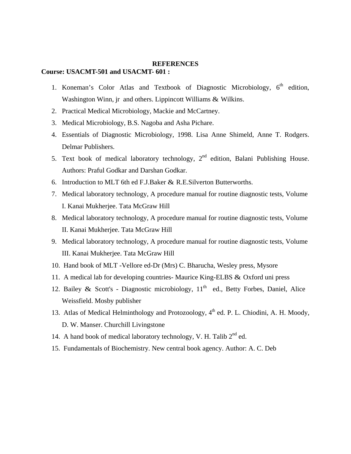#### **REFERENCES**

#### **Course: USACMT-501 and USACMT- 601 :**

- 1. Koneman's Color Atlas and Textbook of Diagnostic Microbiology,  $6<sup>th</sup>$  edition, Washington Winn, jr and others. Lippincott Williams & Wilkins.
- 2. Practical Medical Microbiology, Mackie and McCartney.
- 3. Medical Microbiology, B.S. Nagoba and Asha Pichare.
- 4. Essentials of Diagnostic Microbiology, 1998. Lisa Anne Shimeld, Anne T. Rodgers. Delmar Publishers.
- 5. Text book of medical laboratory technology,  $2<sup>nd</sup>$  edition, Balani Publishing House. Authors: Praful Godkar and Darshan Godkar.
- 6. Introduction to MLT 6th ed F.J.Baker & R.E.Silverton Butterworths.
- 7. Medical laboratory technology, A procedure manual for routine diagnostic tests, Volume I. Kanai Mukherjee. Tata McGraw Hill
- 8. Medical laboratory technology, A procedure manual for routine diagnostic tests, Volume II. Kanai Mukherjee. Tata McGraw Hill
- 9. Medical laboratory technology, A procedure manual for routine diagnostic tests, Volume III. Kanai Mukherjee. Tata McGraw Hill
- 10. Hand book of MLT -Vellore ed-Dr (Mrs) C. Bharucha, Wesley press, Mysore
- 11. A medical lab for developing countries- Maurice King-ELBS & Oxford uni press
- 12. Bailey & Scott's Diagnostic microbiology,  $11<sup>th</sup>$  ed., Betty Forbes, Daniel, Alice Weissfield. Mosby publisher
- 13. Atlas of Medical Helminthology and Protozoology,  $4<sup>th</sup>$  ed. P. L. Chiodini, A. H. Moody, D. W. Manser. Churchill Livingstone
- 14. A hand book of medical laboratory technology, V. H. Talib  $2^{nd}$  ed.
- 15. Fundamentals of Biochemistry. New central book agency. Author: A. C. Deb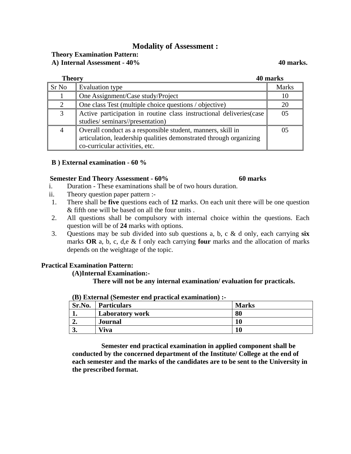### **Modality of Assessment :**

| <b>Theory Examination Pattern:</b> |           |  |
|------------------------------------|-----------|--|
| A) Internal Assessment - 40%       | 40 marks. |  |

| <b>Theory</b>         |                                                                                                                                                                     | 40 marks     |
|-----------------------|---------------------------------------------------------------------------------------------------------------------------------------------------------------------|--------------|
| Sr No                 | Evaluation type                                                                                                                                                     | <b>Marks</b> |
|                       | One Assignment/Case study/Project                                                                                                                                   | 10           |
| $\mathcal{D}_{\cdot}$ | One class Test (multiple choice questions / objective)                                                                                                              | 20           |
| 3                     | Active participation in routine class instructional deliveries (case<br>studies/seminars//presentation)                                                             | 05           |
| 4                     | Overall conduct as a responsible student, manners, skill in<br>articulation, leadership qualities demonstrated through organizing<br>co-curricular activities, etc. |              |

#### **B ) External examination - 60 %**

#### **Semester End Theory Assessment - 60% 60 marks**

- i. Duration These examinations shall be of two hours duration.
- ii. Theory question paper pattern :-
- 1. There shall be **five** questions each of **12** marks. On each unit there will be one question & fifth one will be based on all the four units .
- 2. All questions shall be compulsory with internal choice within the questions. Each question will be of **24** marks with options.
- 3. Questions may be sub divided into sub questions a, b, c & d only, each carrying **six** marks **OR** a, b, c, d,e & f only each carrying **four** marks and the allocation of marks depends on the weightage of the topic.

### **Practical Examination Pattern:**

#### **(A)Internal Examination:-**

#### **There will not be any internal examination/ evaluation for practicals.**

| .      |                        |              |
|--------|------------------------|--------------|
| Sr.No. | <b>Particulars</b>     | <b>Marks</b> |
|        | <b>Laboratory work</b> | 80           |
| ∸∙     | Journal                | 10           |
| J.     | Viva                   | 10           |

#### **(B) External (Semester end practical examination) :-**

 **Semester end practical examination in applied component shall be conducted by the concerned department of the Institute/ College at the end of each semester and the marks of the candidates are to be sent to the University in the prescribed format.**